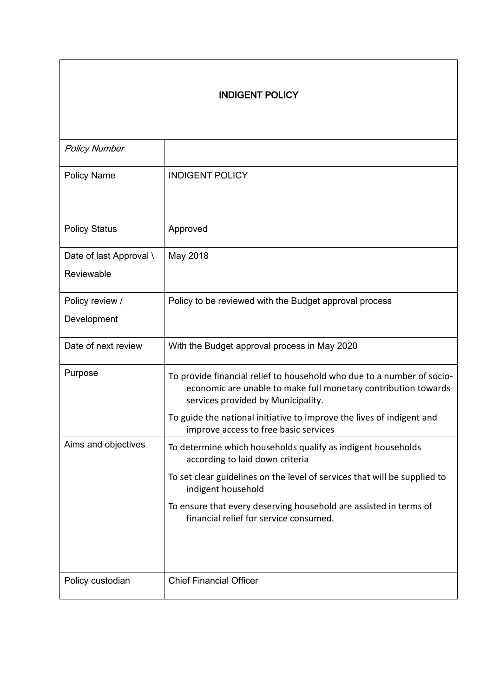## INDIGENT POLICY

| <b>Policy Number</b>    |                                                                                                                                                                                |
|-------------------------|--------------------------------------------------------------------------------------------------------------------------------------------------------------------------------|
| <b>Policy Name</b>      | <b>INDIGENT POLICY</b>                                                                                                                                                         |
| <b>Policy Status</b>    | Approved                                                                                                                                                                       |
| Date of last Approval \ | May 2018                                                                                                                                                                       |
| Reviewable              |                                                                                                                                                                                |
| Policy review /         | Policy to be reviewed with the Budget approval process                                                                                                                         |
| Development             |                                                                                                                                                                                |
| Date of next review     | With the Budget approval process in May 2020                                                                                                                                   |
| Purpose                 | To provide financial relief to household who due to a number of socio-<br>economic are unable to make full monetary contribution towards<br>services provided by Municipality. |
|                         | To guide the national initiative to improve the lives of indigent and<br>improve access to free basic services                                                                 |
| Aims and objectives     | To determine which households qualify as indigent households<br>according to laid down criteria                                                                                |
|                         | To set clear guidelines on the level of services that will be supplied to<br>indigent household                                                                                |
|                         | To ensure that every deserving household are assisted in terms of<br>financial relief for service consumed.                                                                    |
| Policy custodian        | <b>Chief Financial Officer</b>                                                                                                                                                 |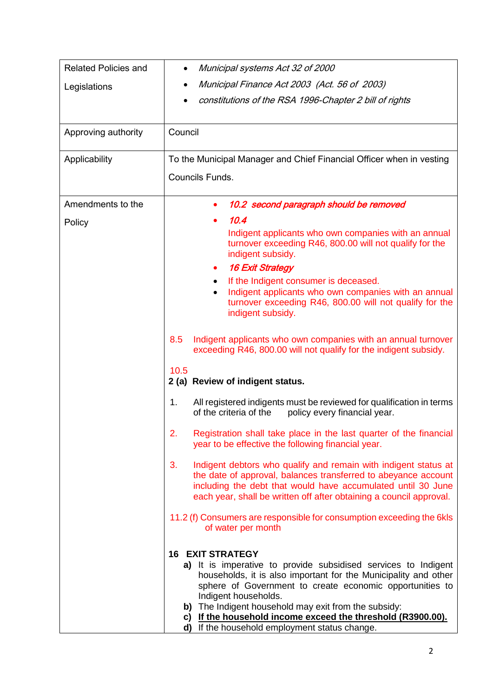| <b>Related Policies and</b> | Municipal systems Act 32 of 2000                                                                                                                                                                                                                                                                                                                                                                                                  |  |  |
|-----------------------------|-----------------------------------------------------------------------------------------------------------------------------------------------------------------------------------------------------------------------------------------------------------------------------------------------------------------------------------------------------------------------------------------------------------------------------------|--|--|
| Legislations                | Municipal Finance Act 2003 (Act. 56 of 2003)                                                                                                                                                                                                                                                                                                                                                                                      |  |  |
|                             | constitutions of the RSA 1996-Chapter 2 bill of rights                                                                                                                                                                                                                                                                                                                                                                            |  |  |
|                             |                                                                                                                                                                                                                                                                                                                                                                                                                                   |  |  |
| Approving authority         | Council                                                                                                                                                                                                                                                                                                                                                                                                                           |  |  |
| Applicability               | To the Municipal Manager and Chief Financial Officer when in vesting                                                                                                                                                                                                                                                                                                                                                              |  |  |
|                             | Councils Funds.                                                                                                                                                                                                                                                                                                                                                                                                                   |  |  |
| Amendments to the           | 10.2 second paragraph should be removed                                                                                                                                                                                                                                                                                                                                                                                           |  |  |
| Policy                      | 10.4                                                                                                                                                                                                                                                                                                                                                                                                                              |  |  |
|                             | Indigent applicants who own companies with an annual<br>turnover exceeding R46, 800.00 will not qualify for the<br>indigent subsidy.                                                                                                                                                                                                                                                                                              |  |  |
|                             | <b>16 Exit Strategy</b><br>٠                                                                                                                                                                                                                                                                                                                                                                                                      |  |  |
|                             | If the Indigent consumer is deceased.<br>$\bullet$                                                                                                                                                                                                                                                                                                                                                                                |  |  |
|                             | Indigent applicants who own companies with an annual<br>$\bullet$<br>turnover exceeding R46, 800.00 will not qualify for the<br>indigent subsidy.                                                                                                                                                                                                                                                                                 |  |  |
|                             | Indigent applicants who own companies with an annual turnover<br>8.5<br>exceeding R46, 800.00 will not qualify for the indigent subsidy.                                                                                                                                                                                                                                                                                          |  |  |
|                             | 10.5<br>2 (a) Review of indigent status.                                                                                                                                                                                                                                                                                                                                                                                          |  |  |
|                             | 1.<br>All registered indigents must be reviewed for qualification in terms<br>of the criteria of the<br>policy every financial year.                                                                                                                                                                                                                                                                                              |  |  |
|                             | Registration shall take place in the last quarter of the financial<br>2.<br>year to be effective the following financial year.                                                                                                                                                                                                                                                                                                    |  |  |
|                             | 3.<br>Indigent debtors who qualify and remain with indigent status at<br>the date of approval, balances transferred to abeyance account<br>including the debt that would have accumulated until 30 June<br>each year, shall be written off after obtaining a council approval.                                                                                                                                                    |  |  |
|                             | 11.2 (f) Consumers are responsible for consumption exceeding the 6kls<br>of water per month                                                                                                                                                                                                                                                                                                                                       |  |  |
|                             | <b>16 EXIT STRATEGY</b><br>a) It is imperative to provide subsidised services to Indigent<br>households, it is also important for the Municipality and other<br>sphere of Government to create economic opportunities to<br>Indigent households.<br>The Indigent household may exit from the subsidy:<br>b)<br>If the household income exceed the threshold (R3900.00).<br>C)<br>If the household employment status change.<br>d) |  |  |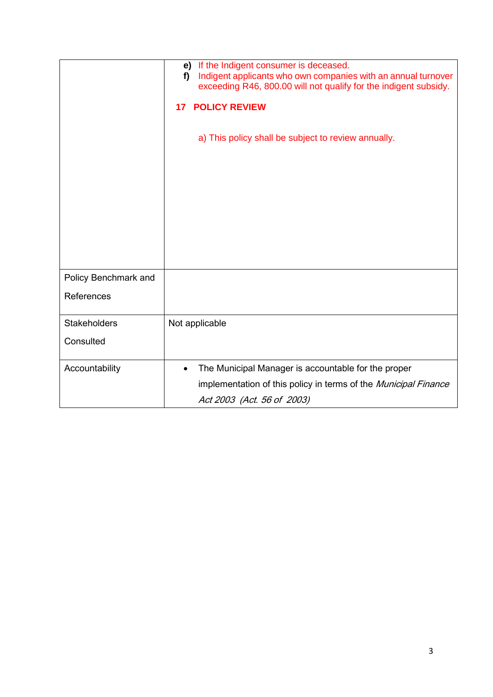|                      | If the Indigent consumer is deceased.<br>e)<br>Indigent applicants who own companies with an annual turnover<br>f<br>exceeding R46, 800.00 will not qualify for the indigent subsidy.<br><b>POLICY REVIEW</b><br>17<br>a) This policy shall be subject to review annually. |
|----------------------|----------------------------------------------------------------------------------------------------------------------------------------------------------------------------------------------------------------------------------------------------------------------------|
| Policy Benchmark and |                                                                                                                                                                                                                                                                            |
| References           |                                                                                                                                                                                                                                                                            |
| <b>Stakeholders</b>  | Not applicable                                                                                                                                                                                                                                                             |
| Consulted            |                                                                                                                                                                                                                                                                            |
| Accountability       | The Municipal Manager is accountable for the proper<br>$\bullet$                                                                                                                                                                                                           |
|                      | implementation of this policy in terms of the Municipal Finance                                                                                                                                                                                                            |
|                      | Act 2003 (Act. 56 of 2003)                                                                                                                                                                                                                                                 |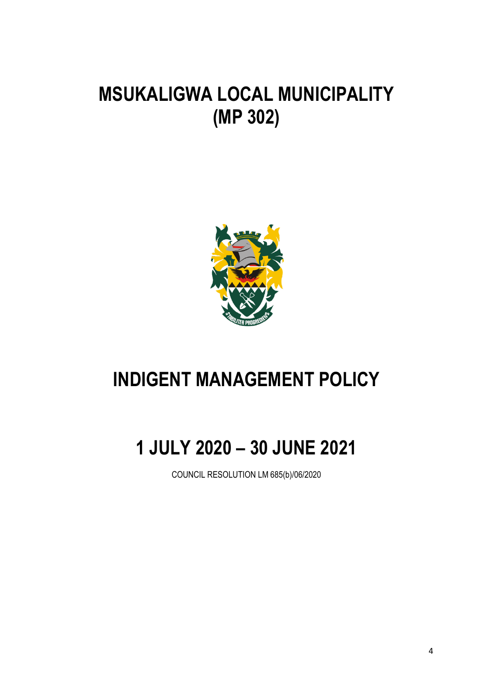## **MSUKALIGWA LOCAL MUNICIPALITY (MP 302)**



## **INDIGENT MANAGEMENT POLICY**

# **1 JULY 2020 – 30 JUNE 2021**

COUNCIL RESOLUTION LM 685(b)/06/2020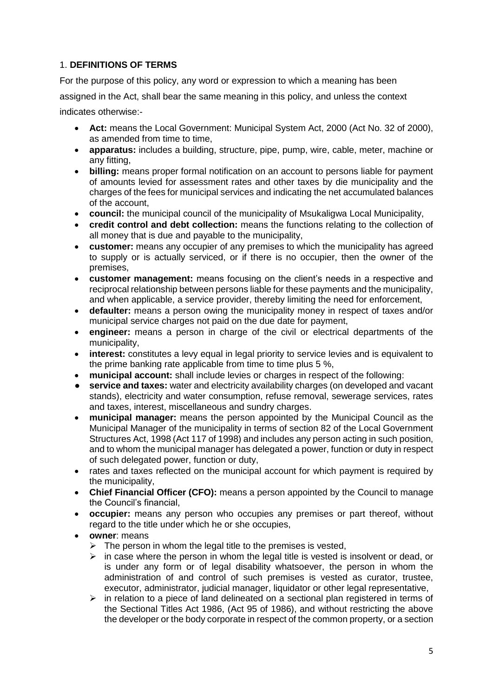## 1. **DEFINITIONS OF TERMS**

For the purpose of this policy, any word or expression to which a meaning has been assigned in the Act, shall bear the same meaning in this policy, and unless the context indicates otherwise:-

- **Act:** means the Local Government: Municipal System Act, 2000 (Act No. 32 of 2000), as amended from time to time,
- **apparatus:** includes a building, structure, pipe, pump, wire, cable, meter, machine or any fitting,
- **billing:** means proper formal notification on an account to persons liable for payment of amounts levied for assessment rates and other taxes by die municipality and the charges of the fees for municipal services and indicating the net accumulated balances of the account,
- **council:** the municipal council of the municipality of Msukaligwa Local Municipality,
- **credit control and debt collection:** means the functions relating to the collection of all money that is due and payable to the municipality,
- **customer:** means any occupier of any premises to which the municipality has agreed to supply or is actually serviced, or if there is no occupier, then the owner of the premises,
- **customer management:** means focusing on the client's needs in a respective and reciprocal relationship between persons liable for these payments and the municipality, and when applicable, a service provider, thereby limiting the need for enforcement,
- **defaulter:** means a person owing the municipality money in respect of taxes and/or municipal service charges not paid on the due date for payment,
- **engineer:** means a person in charge of the civil or electrical departments of the municipality,
- **interest:** constitutes a levy equal in legal priority to service levies and is equivalent to the prime banking rate applicable from time to time plus 5 %,
- **municipal account:** shall include levies or charges in respect of the following:
- **● service and taxes:** water and electricity availability charges (on developed and vacant stands), electricity and water consumption, refuse removal, sewerage services, rates and taxes, interest, miscellaneous and sundry charges.
- **municipal manager:** means the person appointed by the Municipal Council as the Municipal Manager of the municipality in terms of section 82 of the Local Government Structures Act, 1998 (Act 117 of 1998) and includes any person acting in such position, and to whom the municipal manager has delegated a power, function or duty in respect of such delegated power, function or duty,
- rates and taxes reflected on the municipal account for which payment is required by the municipality,
- **Chief Financial Officer (CFO):** means a person appointed by the Council to manage the Council's financial,
- **occupier:** means any person who occupies any premises or part thereof, without regard to the title under which he or she occupies,
- **owner**: means
	- $\triangleright$  The person in whom the legal title to the premises is vested,
	- $\triangleright$  in case where the person in whom the legal title is vested is insolvent or dead, or is under any form or of legal disability whatsoever, the person in whom the administration of and control of such premises is vested as curator, trustee, executor, administrator, judicial manager, liquidator or other legal representative,
	- $\triangleright$  in relation to a piece of land delineated on a sectional plan registered in terms of the Sectional Titles Act 1986, (Act 95 of 1986), and without restricting the above the developer or the body corporate in respect of the common property, or a section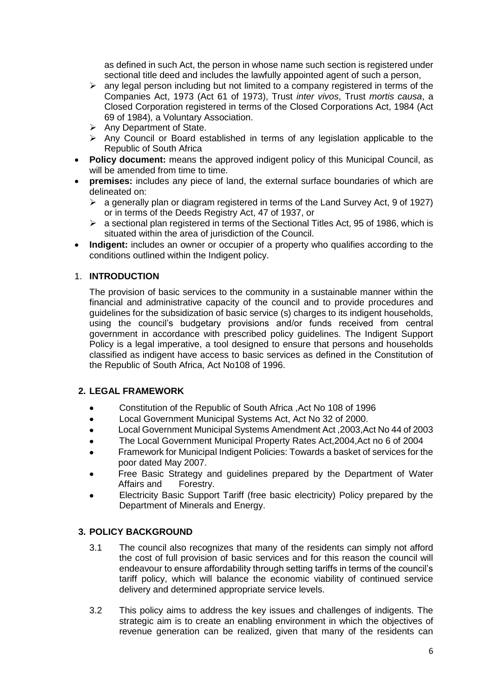as defined in such Act, the person in whose name such section is registered under sectional title deed and includes the lawfully appointed agent of such a person,

- $\triangleright$  any legal person including but not limited to a company registered in terms of the Companies Act, 1973 (Act 61 of 1973), Trust *inter vivos*, Trust *mortis causa*, a Closed Corporation registered in terms of the Closed Corporations Act, 1984 (Act 69 of 1984), a Voluntary Association.
- $\triangleright$  Any Department of State.
- $\triangleright$  Any Council or Board established in terms of any legislation applicable to the Republic of South Africa
- **Policy document:** means the approved indigent policy of this Municipal Council, as will be amended from time to time.
- **premises:** includes any piece of land, the external surface boundaries of which are delineated on:
	- $\triangleright$  a generally plan or diagram registered in terms of the Land Survey Act, 9 of 1927) or in terms of the Deeds Registry Act, 47 of 1937, or
	- $\triangleright$  a sectional plan registered in terms of the Sectional Titles Act, 95 of 1986, which is situated within the area of jurisdiction of the Council.
- Indigent: includes an owner or occupier of a property who qualifies according to the conditions outlined within the Indigent policy.

## 1. **INTRODUCTION**

The provision of basic services to the community in a sustainable manner within the financial and administrative capacity of the council and to provide procedures and guidelines for the subsidization of basic service (s) charges to its indigent households, using the council's budgetary provisions and/or funds received from central government in accordance with prescribed policy guidelines. The Indigent Support Policy is a legal imperative, a tool designed to ensure that persons and households classified as indigent have access to basic services as defined in the Constitution of the Republic of South Africa, Act No108 of 1996.

## **2. LEGAL FRAMEWORK**

- Constitution of the Republic of South Africa ,Act No 108 of 1996
- Local Government Municipal Systems Act, Act No 32 of 2000.
- Local Government Municipal Systems Amendment Act ,2003,Act No 44 of 2003
- The Local Government Municipal Property Rates Act,2004,Act no 6 of 2004
- Framework for Municipal Indigent Policies: Towards a basket of services for the poor dated May 2007.
- Free Basic Strategy and guidelines prepared by the Department of Water Affairs and Forestry.
- Electricity Basic Support Tariff (free basic electricity) Policy prepared by the Department of Minerals and Energy.

#### **3. POLICY BACKGROUND**

- 3.1 The council also recognizes that many of the residents can simply not afford the cost of full provision of basic services and for this reason the council will endeavour to ensure affordability through setting tariffs in terms of the council's tariff policy, which will balance the economic viability of continued service delivery and determined appropriate service levels.
- 3.2 This policy aims to address the key issues and challenges of indigents. The strategic aim is to create an enabling environment in which the objectives of revenue generation can be realized, given that many of the residents can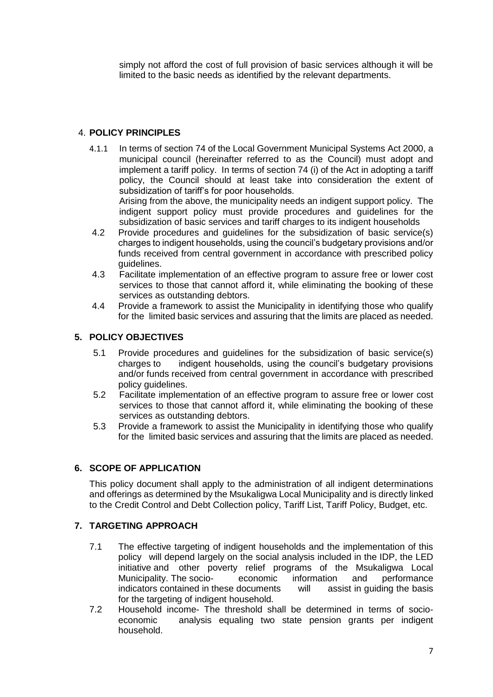simply not afford the cost of full provision of basic services although it will be limited to the basic needs as identified by the relevant departments.

## 4. **POLICY PRINCIPLES**

4.1.1 In terms of section 74 of the Local Government Municipal Systems Act 2000, a municipal council (hereinafter referred to as the Council) must adopt and implement a tariff policy. In terms of section 74 (i) of the Act in adopting a tariff policy, the Council should at least take into consideration the extent of subsidization of tariff's for poor households. Arising from the above, the municipality needs an indigent support policy. The

indigent support policy must provide procedures and guidelines for the subsidization of basic services and tariff charges to its indigent households

- 4.2 Provide procedures and guidelines for the subsidization of basic service(s) charges to indigent households, using the council's budgetary provisions and/or funds received from central government in accordance with prescribed policy guidelines.
- 4.3 Facilitate implementation of an effective program to assure free or lower cost services to those that cannot afford it, while eliminating the booking of these services as outstanding debtors.
- 4.4 Provide a framework to assist the Municipality in identifying those who qualify for the limited basic services and assuring that the limits are placed as needed.

## **5. POLICY OBJECTIVES**

- 5.1 Provide procedures and guidelines for the subsidization of basic service(s) charges to indigent households, using the council's budgetary provisions and/or funds received from central government in accordance with prescribed policy guidelines.
- 5.2 Facilitate implementation of an effective program to assure free or lower cost services to those that cannot afford it, while eliminating the booking of these services as outstanding debtors.
- 5.3 Provide a framework to assist the Municipality in identifying those who qualify for the limited basic services and assuring that the limits are placed as needed.

## **6. SCOPE OF APPLICATION**

This policy document shall apply to the administration of all indigent determinations and offerings as determined by the Msukaligwa Local Municipality and is directly linked to the Credit Control and Debt Collection policy, Tariff List, Tariff Policy, Budget, etc.

## **7. TARGETING APPROACH**

- 7.1 The effective targeting of indigent households and the implementation of this policy will depend largely on the social analysis included in the IDP, the LED initiative and other poverty relief programs of the Msukaligwa Local Municipality. The socio- economic information and performance indicators contained in these documents will assist in guiding the basis for the targeting of indigent household.
- 7.2 Household income- The threshold shall be determined in terms of socioeconomic analysis equaling two state pension grants per indigent household.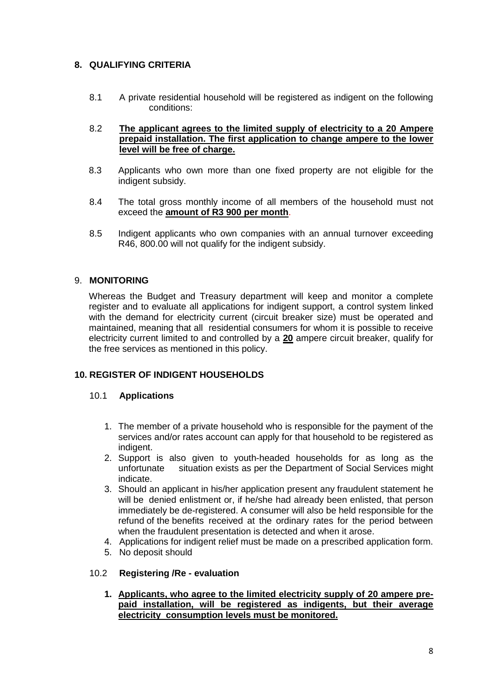## **8. QUALIFYING CRITERIA**

8.1 A private residential household will be registered as indigent on the following conditions:

#### 8.2 **The applicant agrees to the limited supply of electricity to a 20 Ampere prepaid installation. The first application to change ampere to the lower level will be free of charge.**

- 8.3 Applicants who own more than one fixed property are not eligible for the indigent subsidy.
- 8.4 The total gross monthly income of all members of the household must not exceed the **amount of R3 900 per month**.
- 8.5 Indigent applicants who own companies with an annual turnover exceeding R46, 800.00 will not qualify for the indigent subsidy.

#### 9. **MONITORING**

Whereas the Budget and Treasury department will keep and monitor a complete register and to evaluate all applications for indigent support, a control system linked with the demand for electricity current (circuit breaker size) must be operated and maintained, meaning that all residential consumers for whom it is possible to receive electricity current limited to and controlled by a **20** ampere circuit breaker, qualify for the free services as mentioned in this policy.

## **10. REGISTER OF INDIGENT HOUSEHOLDS**

#### 10.1 **Applications**

- 1. The member of a private household who is responsible for the payment of the services and/or rates account can apply for that household to be registered as indigent.
- 2. Support is also given to youth-headed households for as long as the unfortunate situation exists as per the Department of Social Services might indicate.
- 3. Should an applicant in his/her application present any fraudulent statement he will be denied enlistment or, if he/she had already been enlisted, that person immediately be de-registered. A consumer will also be held responsible for the refund of the benefits received at the ordinary rates for the period between when the fraudulent presentation is detected and when it arose.
- 4. Applications for indigent relief must be made on a prescribed application form.
- 5. No deposit should

#### 10.2 **Registering /Re - evaluation**

**1. Applicants, who agree to the limited electricity supply of 20 ampere prepaid installation, will be registered as indigents, but their average electricity consumption levels must be monitored.**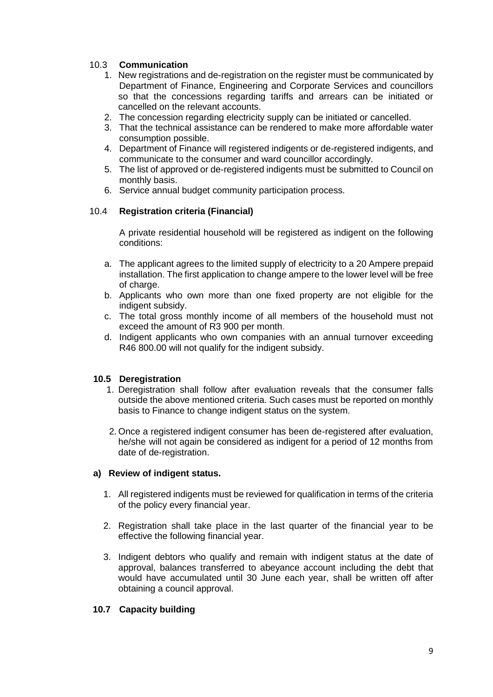## 10.3 **Communication**

- 1. New registrations and de-registration on the register must be communicated by Department of Finance, Engineering and Corporate Services and councillors so that the concessions regarding tariffs and arrears can be initiated or cancelled on the relevant accounts.
- 2. The concession regarding electricity supply can be initiated or cancelled.
- 3. That the technical assistance can be rendered to make more affordable water consumption possible.
- 4. Department of Finance will registered indigents or de-registered indigents, and communicate to the consumer and ward councillor accordingly.
- 5. The list of approved or de-registered indigents must be submitted to Council on monthly basis.
- 6. Service annual budget community participation process.

#### 10.4 **Registration criteria (Financial)**

A private residential household will be registered as indigent on the following conditions:

- a. The applicant agrees to the limited supply of electricity to a 20 Ampere prepaid installation. The first application to change ampere to the lower level will be free of charge.
- b. Applicants who own more than one fixed property are not eligible for the indigent subsidy.
- c. The total gross monthly income of all members of the household must not exceed the amount of R3 900 per month.
- d. Indigent applicants who own companies with an annual turnover exceeding R46 800.00 will not qualify for the indigent subsidy.

#### **10.5 Deregistration**

- 1. Deregistration shall follow after evaluation reveals that the consumer falls outside the above mentioned criteria. Such cases must be reported on monthly basis to Finance to change indigent status on the system.
- 2. Once a registered indigent consumer has been de-registered after evaluation, he/she will not again be considered as indigent for a period of 12 months from date of de-registration.

#### **a) Review of indigent status.**

- 1. All registered indigents must be reviewed for qualification in terms of the criteria of the policy every financial year.
- 2. Registration shall take place in the last quarter of the financial year to be effective the following financial year.
- 3. Indigent debtors who qualify and remain with indigent status at the date of approval, balances transferred to abeyance account including the debt that would have accumulated until 30 June each year, shall be written off after obtaining a council approval.

#### **10.7 Capacity building**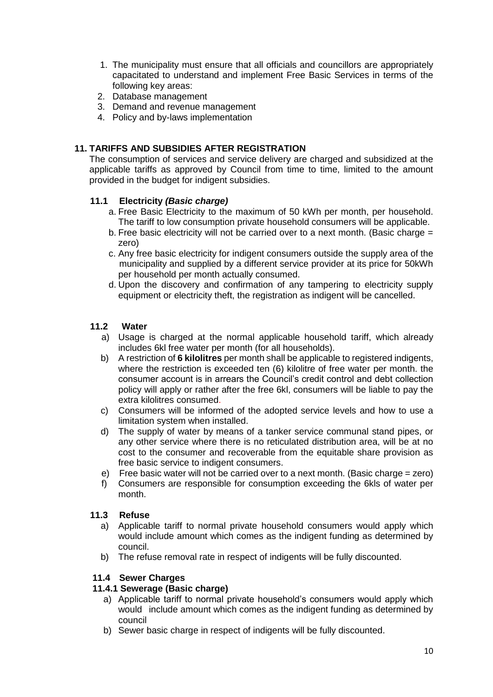- 1. The municipality must ensure that all officials and councillors are appropriately capacitated to understand and implement Free Basic Services in terms of the following key areas:
- 2. Database management
- 3. Demand and revenue management
- 4. Policy and by-laws implementation

### **11. TARIFFS AND SUBSIDIES AFTER REGISTRATION**

The consumption of services and service delivery are charged and subsidized at the applicable tariffs as approved by Council from time to time, limited to the amount provided in the budget for indigent subsidies.

#### **11.1 Electricity** *(Basic charge)*

- a. Free Basic Electricity to the maximum of 50 kWh per month, per household. The tariff to low consumption private household consumers will be applicable.
- b. Free basic electricity will not be carried over to a next month. (Basic charge = zero)
- c. Any free basic electricity for indigent consumers outside the supply area of the municipality and supplied by a different service provider at its price for 50kWh per household per month actually consumed.
- d. Upon the discovery and confirmation of any tampering to electricity supply equipment or electricity theft, the registration as indigent will be cancelled.

#### **11.2 Water**

- a) Usage is charged at the normal applicable household tariff, which already includes 6kl free water per month (for all households).
- b) A restriction of **6 kilolitres** per month shall be applicable to registered indigents, where the restriction is exceeded ten (6) kilolitre of free water per month. the consumer account is in arrears the Council's credit control and debt collection policy will apply or rather after the free 6kl, consumers will be liable to pay the extra kilolitres consumed.
- c) Consumers will be informed of the adopted service levels and how to use a limitation system when installed.
- d) The supply of water by means of a tanker service communal stand pipes, or any other service where there is no reticulated distribution area, will be at no cost to the consumer and recoverable from the equitable share provision as free basic service to indigent consumers.
- e) Free basic water will not be carried over to a next month. (Basic charge = zero)
- f) Consumers are responsible for consumption exceeding the 6kls of water per month.

#### **11.3 Refuse**

- a) Applicable tariff to normal private household consumers would apply which would include amount which comes as the indigent funding as determined by council.
- b) The refuse removal rate in respect of indigents will be fully discounted.

#### **11.4 Sewer Charges**

#### **11.4.1 Sewerage (Basic charge)**

- a) Applicable tariff to normal private household's consumers would apply which would include amount which comes as the indigent funding as determined by council
- b) Sewer basic charge in respect of indigents will be fully discounted.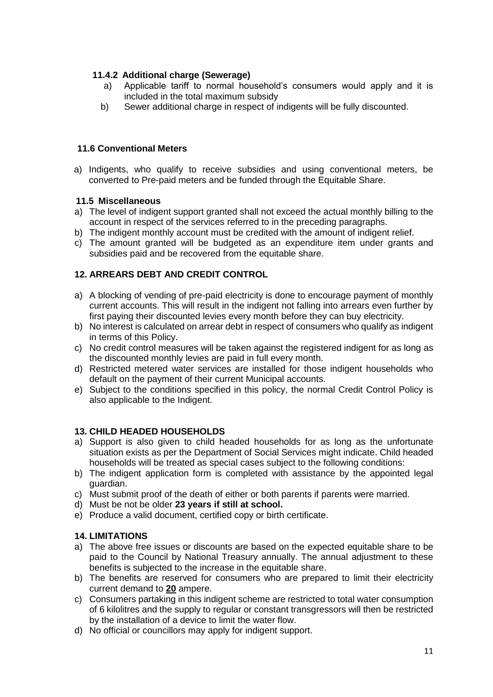## **11.4.2 Additional charge (Sewerage)**

- a) Applicable tariff to normal household's consumers would apply and it is included in the total maximum subsidy
- b) Sewer additional charge in respect of indigents will be fully discounted.

## **11.6 Conventional Meters**

a) Indigents, who qualify to receive subsidies and using conventional meters, be converted to Pre-paid meters and be funded through the Equitable Share.

## **11.5 Miscellaneous**

- a) The level of indigent support granted shall not exceed the actual monthly billing to the account in respect of the services referred to in the preceding paragraphs.
- b) The indigent monthly account must be credited with the amount of indigent relief.
- c) The amount granted will be budgeted as an expenditure item under grants and subsidies paid and be recovered from the equitable share.

## **12. ARREARS DEBT AND CREDIT CONTROL**

- a) A blocking of vending of pre-paid electricity is done to encourage payment of monthly current accounts. This will result in the indigent not falling into arrears even further by first paying their discounted levies every month before they can buy electricity.
- b) No interest is calculated on arrear debt in respect of consumers who qualify as indigent in terms of this Policy.
- c) No credit control measures will be taken against the registered indigent for as long as the discounted monthly levies are paid in full every month.
- d) Restricted metered water services are installed for those indigent households who default on the payment of their current Municipal accounts.
- e) Subject to the conditions specified in this policy, the normal Credit Control Policy is also applicable to the Indigent.

## **13. CHILD HEADED HOUSEHOLDS**

- a) Support is also given to child headed households for as long as the unfortunate situation exists as per the Department of Social Services might indicate**.** Child headed households will be treated as special cases subject to the following conditions:
- b) The indigent application form is completed with assistance by the appointed legal guardian.
- c) Must submit proof of the death of either or both parents if parents were married.
- d) Must be not be older **23 years if still at school.**
- e) Produce a valid document, certified copy or birth certificate.

## **14. LIMITATIONS**

- a) The above free issues or discounts are based on the expected equitable share to be paid to the Council by National Treasury annually. The annual adjustment to these benefits is subjected to the increase in the equitable share.
- b) The benefits are reserved for consumers who are prepared to limit their electricity current demand to **20** ampere.
- c) Consumers partaking in this indigent scheme are restricted to total water consumption of 6 kilolitres and the supply to regular or constant transgressors will then be restricted by the installation of a device to limit the water flow.
- d) No official or councillors may apply for indigent support.